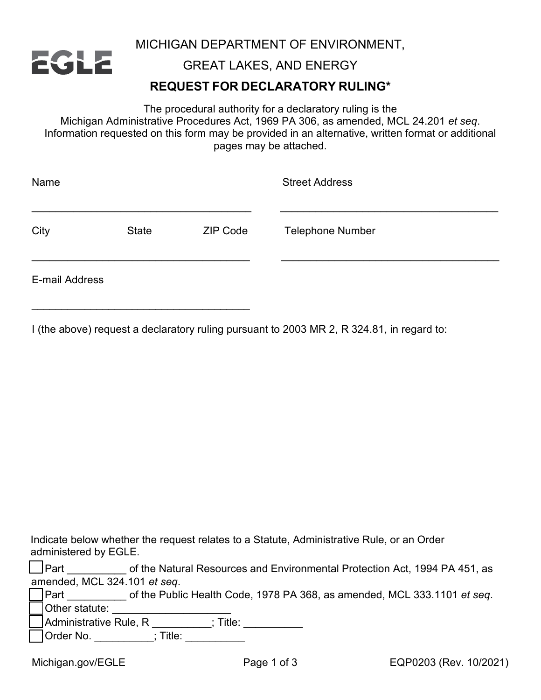

MICHIGAN DEPARTMENT OF ENVIRONMENT,

GREAT LAKES, AND ENERGY

## **REQUEST FOR DECLARATORY RULING\***

The procedural authority for a declaratory ruling is the Michigan Administrative Procedures Act, 1969 PA 306, as amended, MCL 24.201 *et seq*. Information requested on this form may be provided in an alternative, written format or additional pages may be attached.

| Name           |              |                 | <b>Street Address</b>   |  |
|----------------|--------------|-----------------|-------------------------|--|
| City           | <b>State</b> | <b>ZIP Code</b> | <b>Telephone Number</b> |  |
| E-mail Address |              |                 |                         |  |

I (the above) request a declaratory ruling pursuant to 2003 MR 2, R 324.81, in regard to:

| Indicate below whether the request relates to a Statute, Administrative Rule, or an Order |  |
|-------------------------------------------------------------------------------------------|--|
| administered by EGLE.                                                                     |  |

| $\Box$ Part | of the Natural Resources and Environmental Protection Act, 1994 PA 451, as |  |
|-------------|----------------------------------------------------------------------------|--|
|             | amended, MCL 324.101 et seq.                                               |  |
| — I.        | $\blacksquare$                                                             |  |

| <b>IPart</b>   | of the Public Health Code, 1978 PA 368, as amended, MCL 333.1101 et seg. |  |
|----------------|--------------------------------------------------------------------------|--|
| Other statute: |                                                                          |  |

 $\overline{\phantom{a}}$ Administrative Rule, R \_\_\_\_\_\_\_\_\_; Title: \_\_\_\_\_\_\_\_\_\_\_

\_\_\_\_\_\_\_\_\_\_\_\_\_\_\_\_\_\_\_\_\_\_\_\_\_\_\_\_\_\_\_\_\_\_\_\_\_

|  | <b>Order No.</b> |  |  |
|--|------------------|--|--|
|--|------------------|--|--|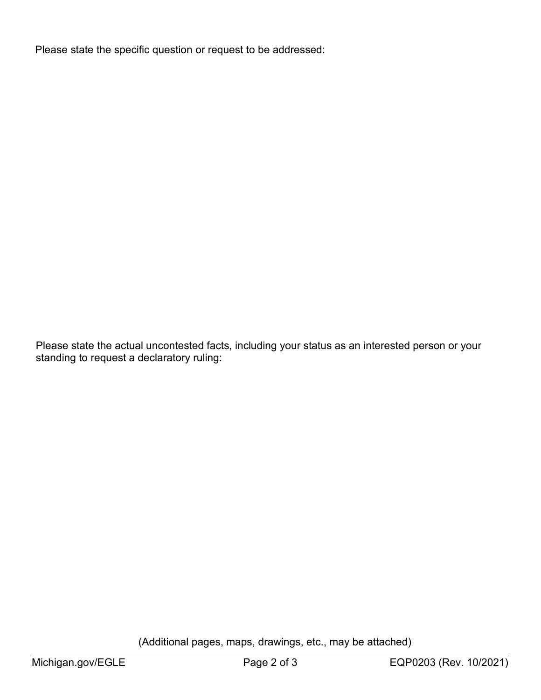Please state the specific question or request to be addressed:

Please state the actual uncontested facts, including your status as an interested person or your standing to request a declaratory ruling:

(Additional pages, maps, drawings, etc., may be attached)